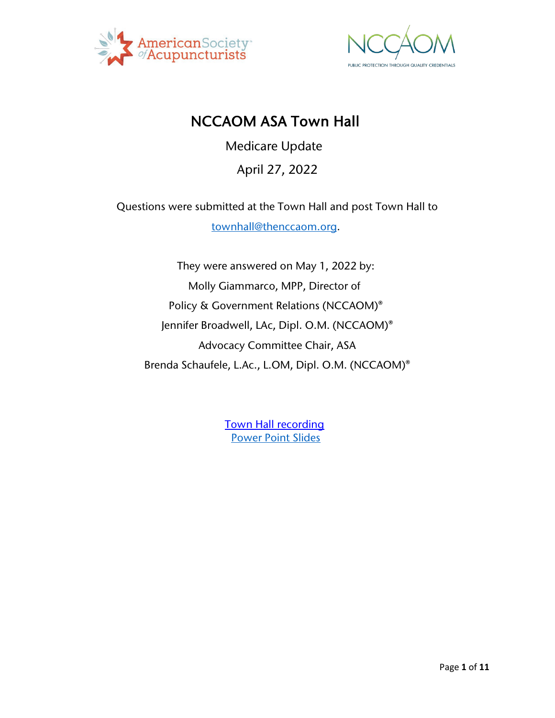



# NCCAOM ASA Town Hall

Medicare Update

#### April 27, 2022

Questions were submitted at the Town Hall and post Town Hall to [townhall@thenccaom.org.](mailto:townhall@thenccaom.org)

They were answered on May 1, 2022 by: Molly Giammarco, MPP, Director of Policy & Government Relations (NCCAOM)® Jennifer Broadwell, LAc, Dipl. O.M. (NCCAOM)® Advocacy Committee Chair, ASA Brenda Schaufele, L.Ac., L.OM, Dipl. O.M. (NCCAOM)®

> [Town Hall recording](https://www.nccaom.org/nccaom-webinars-posted/townhalls-meetings/)  [Power Point Slides](https://www.nccaom.org/wp-content/uploads/pdf/NCCAOM-ASA_Joint_Presentation-04-27-2022.pdf)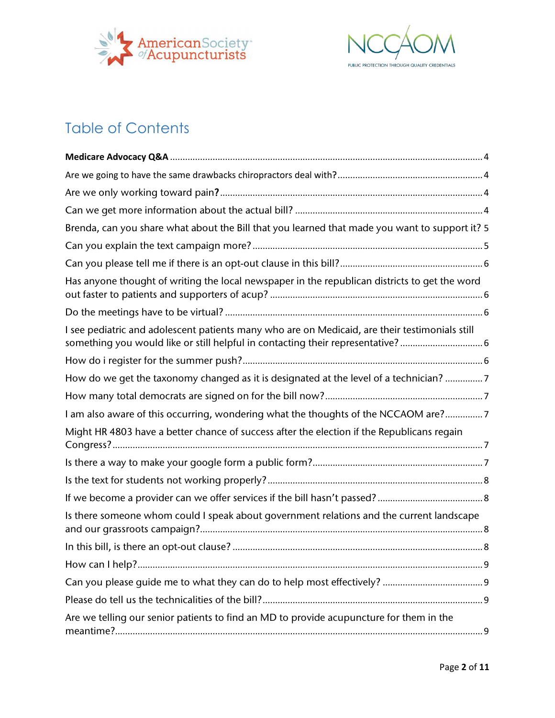



# Table of Contents

| Brenda, can you share what about the Bill that you learned that made you want to support it? 5                                                                                  |  |
|---------------------------------------------------------------------------------------------------------------------------------------------------------------------------------|--|
|                                                                                                                                                                                 |  |
|                                                                                                                                                                                 |  |
| Has anyone thought of writing the local newspaper in the republican districts to get the word                                                                                   |  |
|                                                                                                                                                                                 |  |
| I see pediatric and adolescent patients many who are on Medicaid, are their testimonials still<br>something you would like or still helpful in contacting their representative? |  |
|                                                                                                                                                                                 |  |
| How do we get the taxonomy changed as it is designated at the level of a technician? 7                                                                                          |  |
|                                                                                                                                                                                 |  |
| I am also aware of this occurring, wondering what the thoughts of the NCCAOM are?7                                                                                              |  |
| Might HR 4803 have a better chance of success after the election if the Republicans regain                                                                                      |  |
|                                                                                                                                                                                 |  |
|                                                                                                                                                                                 |  |
|                                                                                                                                                                                 |  |
| Is there someone whom could I speak about government relations and the current landscape                                                                                        |  |
|                                                                                                                                                                                 |  |
|                                                                                                                                                                                 |  |
|                                                                                                                                                                                 |  |
|                                                                                                                                                                                 |  |
| Are we telling our senior patients to find an MD to provide acupuncture for them in the                                                                                         |  |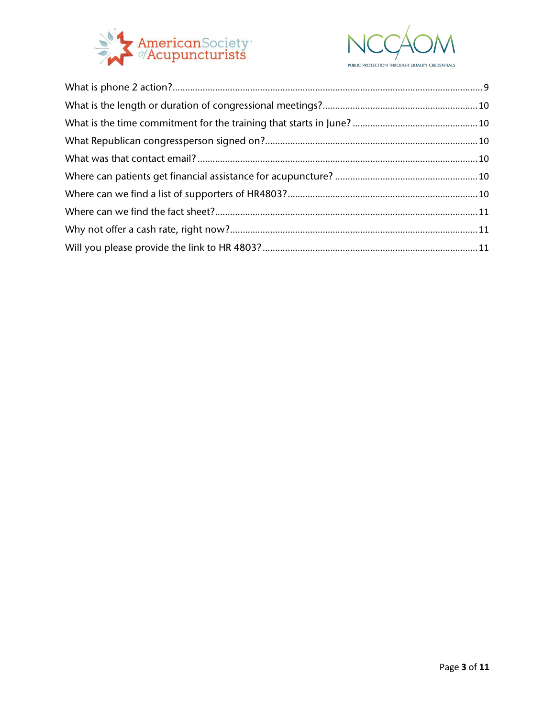

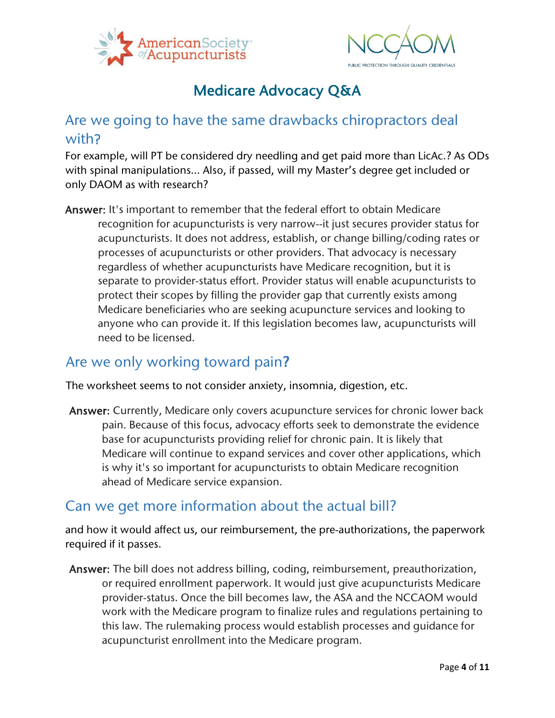



# Medicare Advocacy Q&A

## <span id="page-3-1"></span><span id="page-3-0"></span>Are we going to have the same drawbacks chiropractors deal with?

For example, will PT be considered dry needling and get paid more than LicAc.? As ODs with spinal manipulations… Also, if passed, will my Master's degree get included or only DAOM as with research?

Answer: It's important to remember that the federal effort to obtain Medicare recognition for acupuncturists is very narrow--it just secures provider status for acupuncturists. It does not address, establish, or change billing/coding rates or processes of acupuncturists or other providers. That advocacy is necessary regardless of whether acupuncturists have Medicare recognition, but it is separate to provider-status effort. Provider status will enable acupuncturists to protect their scopes by filling the provider gap that currently exists among Medicare beneficiaries who are seeking acupuncture services and looking to anyone who can provide it. If this legislation becomes law, acupuncturists will need to be licensed.

## <span id="page-3-2"></span>Are we only working toward pain?

The worksheet seems to not consider anxiety, insomnia, digestion, etc.

Answer: Currently, Medicare only covers acupuncture services for chronic lower back pain. Because of this focus, advocacy efforts seek to demonstrate the evidence base for acupuncturists providing relief for chronic pain. It is likely that Medicare will continue to expand services and cover other applications, which is why it's so important for acupuncturists to obtain Medicare recognition ahead of Medicare service expansion.

#### <span id="page-3-3"></span>Can we get more information about the actual bill?

and how it would affect us, our reimbursement, the pre-authorizations, the paperwork required if it passes.

Answer: The bill does not address billing, coding, reimbursement, preauthorization, or required enrollment paperwork. It would just give acupuncturists Medicare provider-status. Once the bill becomes law, the ASA and the NCCAOM would work with the Medicare program to finalize rules and regulations pertaining to this law. The rulemaking process would establish processes and guidance for acupuncturist enrollment into the Medicare program.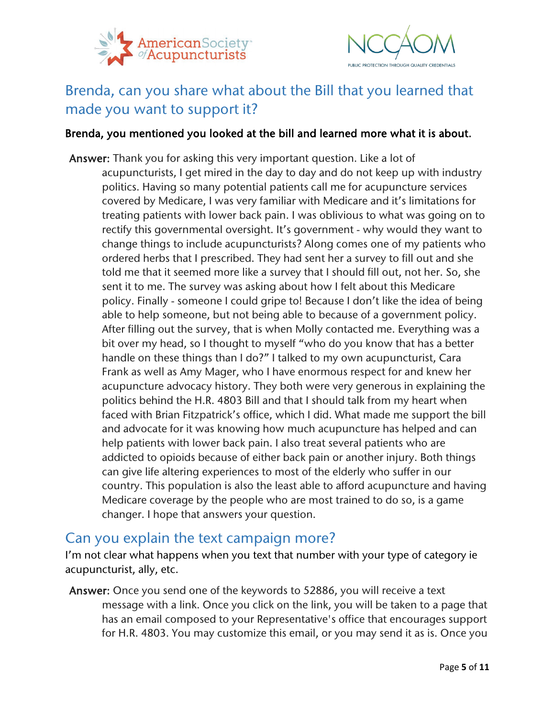



# <span id="page-4-0"></span>Brenda, can you share what about the Bill that you learned that made you want to support it?

#### Brenda, you mentioned you looked at the bill and learned more what it is about.

Answer: Thank you for asking this very important question. Like a lot of acupuncturists, I get mired in the day to day and do not keep up with industry politics. Having so many potential patients call me for acupuncture services covered by Medicare, I was very familiar with Medicare and it's limitations for treating patients with lower back pain. I was oblivious to what was going on to rectify this governmental oversight. It's government - why would they want to change things to include acupuncturists? Along comes one of my patients who ordered herbs that I prescribed. They had sent her a survey to fill out and she told me that it seemed more like a survey that I should fill out, not her. So, she sent it to me. The survey was asking about how I felt about this Medicare policy. Finally - someone I could gripe to! Because I don't like the idea of being able to help someone, but not being able to because of a government policy. After filling out the survey, that is when Molly contacted me. Everything was a bit over my head, so I thought to myself "who do you know that has a better handle on these things than I do?" I talked to my own acupuncturist, Cara Frank as well as Amy Mager, who I have enormous respect for and knew her acupuncture advocacy history. They both were very generous in explaining the politics behind the H.R. 4803 Bill and that I should talk from my heart when faced with Brian Fitzpatrick's office, which I did. What made me support the bill and advocate for it was knowing how much acupuncture has helped and can help patients with lower back pain. I also treat several patients who are addicted to opioids because of either back pain or another injury. Both things can give life altering experiences to most of the elderly who suffer in our country. This population is also the least able to afford acupuncture and having Medicare coverage by the people who are most trained to do so, is a game changer. I hope that answers your question.

#### <span id="page-4-1"></span>Can you explain the text campaign more?

I'm not clear what happens when you text that number with your type of category ie acupuncturist, ally, etc.

Answer: Once you send one of the keywords to 52886, you will receive a text message with a link. Once you click on the link, you will be taken to a page that has an email composed to your Representative's office that encourages support for H.R. 4803. You may customize this email, or you may send it as is. Once you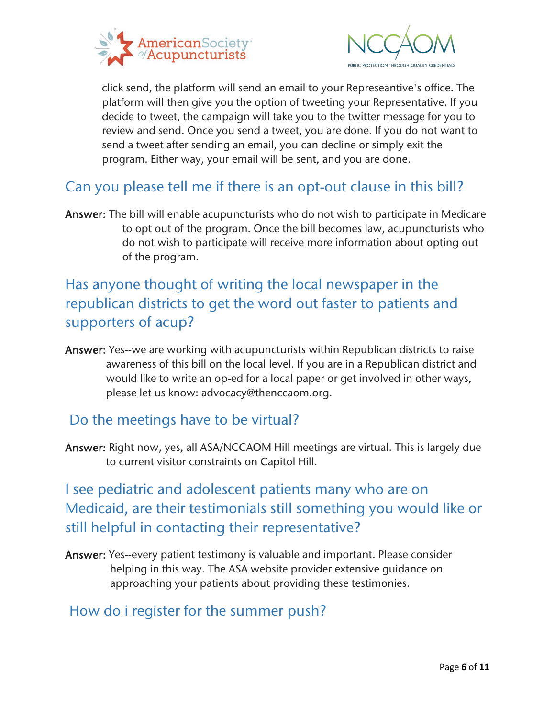



click send, the platform will send an email to your Represeantive's office. The platform will then give you the option of tweeting your Representative. If you decide to tweet, the campaign will take you to the twitter message for you to review and send. Once you send a tweet, you are done. If you do not want to send a tweet after sending an email, you can decline or simply exit the program. Either way, your email will be sent, and you are done.

## <span id="page-5-0"></span>Can you please tell me if there is an opt-out clause in this bill?

Answer: The bill will enable acupuncturists who do not wish to participate in Medicare to opt out of the program. Once the bill becomes law, acupuncturists who do not wish to participate will receive more information about opting out of the program.

<span id="page-5-1"></span>Has anyone thought of writing the local newspaper in the republican districts to get the word out faster to patients and supporters of acup?

Answer: Yes--we are working with acupuncturists within Republican districts to raise awareness of this bill on the local level. If you are in a Republican district and would like to write an op-ed for a local paper or get involved in other ways, please let us know: advocacy@thenccaom.org.

#### <span id="page-5-2"></span>Do the meetings have to be virtual?

Answer: Right now, yes, all ASA/NCCAOM Hill meetings are virtual. This is largely due to current visitor constraints on Capitol Hill.

<span id="page-5-3"></span>I see pediatric and adolescent patients many who are on Medicaid, are their testimonials still something you would like or still helpful in contacting their representative?

Answer: Yes--every patient testimony is valuable and important. Please consider helping in this way. The ASA website provider extensive guidance on approaching your patients about providing these testimonies.

#### <span id="page-5-4"></span>How do i register for the summer push?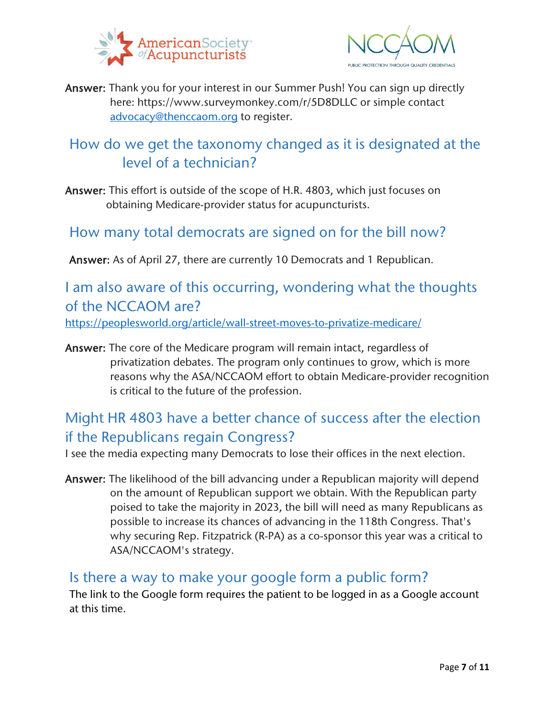



Answer: Thank you for your interest in our Summer Push! You can sign up directly here: https://www.surveymonkey.com/r/5D8DLLC or simple contact [advocacy@thenccaom.org](mailto:advocacy@thenccaom.org) to register.

## <span id="page-6-0"></span>How do we get the taxonomy changed as it is designated at the level of a technician?

Answer: This effort is outside of the scope of H.R. 4803, which just focuses on obtaining Medicare-provider status for acupuncturists.

#### <span id="page-6-1"></span>How many total democrats are signed on for the bill now?

Answer: As of April 27, there are currently 10 Democrats and 1 Republican.

<span id="page-6-2"></span>I am also aware of this occurring, wondering what the thoughts of the NCCAOM are?

<https://peoplesworld.org/article/wall-street-moves-to-privatize-medicare/>

Answer: The core of the Medicare program will remain intact, regardless of privatization debates. The program only continues to grow, which is more reasons why the ASA/NCCAOM effort to obtain Medicare-provider recognition is critical to the future of the profession.

# <span id="page-6-3"></span>Might HR 4803 have a better chance of success after the election if the Republicans regain Congress?

I see the media expecting many Democrats to lose their offices in the next election.

Answer: The likelihood of the bill advancing under a Republican majority will depend on the amount of Republican support we obtain. With the Republican party poised to take the majority in 2023, the bill will need as many Republicans as possible to increase its chances of advancing in the 118th Congress. That's why securing Rep. Fitzpatrick (R-PA) as a co-sponsor this year was a critical to ASA/NCCAOM's strategy.

#### <span id="page-6-4"></span>Is there a way to make your google form a public form?

The link to the Google form requires the patient to be logged in as a Google account at this time.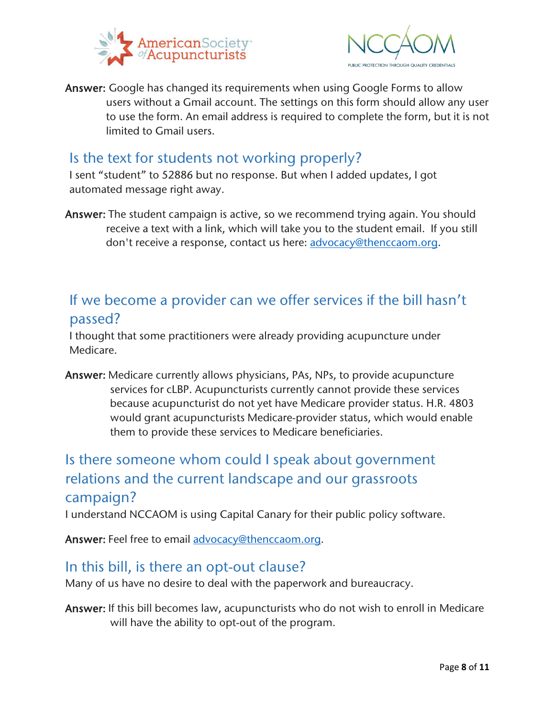



Answer: Google has changed its requirements when using Google Forms to allow users without a Gmail account. The settings on this form should allow any user to use the form. An email address is required to complete the form, but it is not limited to Gmail users.

#### <span id="page-7-0"></span>Is the text for students not working properly?

I sent "student" to 52886 but no response. But when I added updates, I got automated message right away.

Answer: The student campaign is active, so we recommend trying again. You should receive a text with a link, which will take you to the student email. If you still don't receive a response, contact us here: [advocacy@thenccaom.org.](mailto:advocacy@thenccaom.org)

## <span id="page-7-1"></span>If we become a provider can we offer services if the bill hasn't passed?

I thought that some practitioners were already providing acupuncture under Medicare.

Answer: Medicare currently allows physicians, PAs, NPs, to provide acupuncture services for cLBP. Acupuncturists currently cannot provide these services because acupuncturist do not yet have Medicare provider status. H.R. 4803 would grant acupuncturists Medicare-provider status, which would enable them to provide these services to Medicare beneficiaries.

# <span id="page-7-2"></span>Is there someone whom could I speak about government relations and the current landscape and our grassroots campaign?

I understand NCCAOM is using Capital Canary for their public policy software.

Answer: Feel free to email [advocacy@thenccaom.org.](mailto:advocacy@thenccaom.org)

## <span id="page-7-3"></span>In this bill, is there an opt-out clause?

Many of us have no desire to deal with the paperwork and bureaucracy.

Answer: If this bill becomes law, acupuncturists who do not wish to enroll in Medicare will have the ability to opt-out of the program.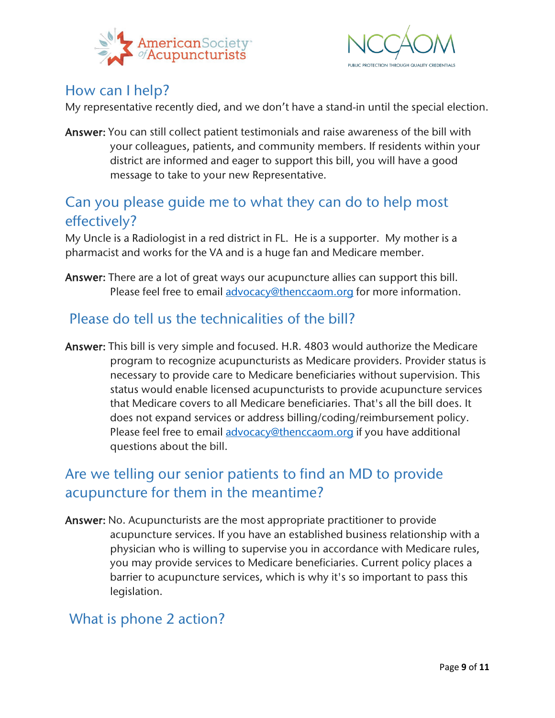



## <span id="page-8-0"></span>How can I help?

My representative recently died, and we don't have a stand-in until the special election.

Answer: You can still collect patient testimonials and raise awareness of the bill with your colleagues, patients, and community members. If residents within your district are informed and eager to support this bill, you will have a good message to take to your new Representative.

## <span id="page-8-1"></span>Can you please guide me to what they can do to help most effectively?

My Uncle is a Radiologist in a red district in FL. He is a supporter. My mother is a pharmacist and works for the VA and is a huge fan and Medicare member.

Answer: There are a lot of great ways our acupuncture allies can support this bill. Please feel free to email [advocacy@thenccaom.org](mailto:advocacy@thenccaom.org) for more information.

## <span id="page-8-2"></span>Please do tell us the technicalities of the bill?

Answer: This bill is very simple and focused. H.R. 4803 would authorize the Medicare program to recognize acupuncturists as Medicare providers. Provider status is necessary to provide care to Medicare beneficiaries without supervision. This status would enable licensed acupuncturists to provide acupuncture services that Medicare covers to all Medicare beneficiaries. That's all the bill does. It does not expand services or address billing/coding/reimbursement policy. Please feel free to email [advocacy@thenccaom.org](mailto:advocacy@thenccaom.org) if you have additional questions about the bill.

# <span id="page-8-3"></span>Are we telling our senior patients to find an MD to provide acupuncture for them in the meantime?

Answer: No. Acupuncturists are the most appropriate practitioner to provide acupuncture services. If you have an established business relationship with a physician who is willing to supervise you in accordance with Medicare rules, you may provide services to Medicare beneficiaries. Current policy places a barrier to acupuncture services, which is why it's so important to pass this legislation.

## <span id="page-8-4"></span>What is phone 2 action?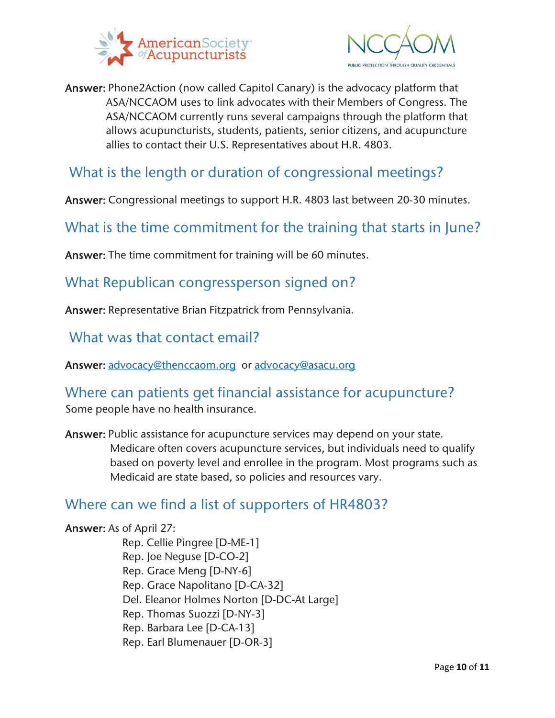



Answer: Phone2Action (now called Capitol Canary) is the advocacy platform that ASA/NCCAOM uses to link advocates with their Members of Congress. The ASA/NCCAOM currently runs several campaigns through the platform that allows acupuncturists, students, patients, senior citizens, and acupuncture allies to contact their U.S. Representatives about H.R. 4803.

### <span id="page-9-0"></span>What is the length or duration of congressional meetings?

Answer: Congressional meetings to support H.R. 4803 last between 20-30 minutes.

<span id="page-9-1"></span>What is the time commitment for the training that starts in June?

Answer: The time commitment for training will be 60 minutes.

#### <span id="page-9-2"></span>What Republican congressperson signed on?

Answer: Representative Brian Fitzpatrick from Pennsylvania.

<span id="page-9-3"></span>What was that contact email?

Answer: [advocacy@thenccaom.org](mailto:advocacy@thenccaom.org) or [advocacy@asacu.org](mailto:advocacy@asacu.org) 

#### <span id="page-9-4"></span>Where can patients get financial assistance for acupuncture?

Some people have no health insurance.

Answer: Public assistance for acupuncture services may depend on your state. Medicare often covers acupuncture services, but individuals need to qualify based on poverty level and enrollee in the program. Most programs such as Medicaid are state based, so policies and resources vary.

## <span id="page-9-5"></span>Where can we find a list of supporters of HR4803?

### Answer: As of April 27:

Rep. Cellie Pingree [D-ME-1] Rep. Joe Neguse [D-CO-2] Rep. Grace Meng [D-NY-6] Rep. Grace Napolitano [D-CA-32] Del. Eleanor Holmes Norton [D-DC-At Large] Rep. Thomas Suozzi [D-NY-3] Rep. Barbara Lee [D-CA-13] Rep. Earl Blumenauer [D-OR-3]